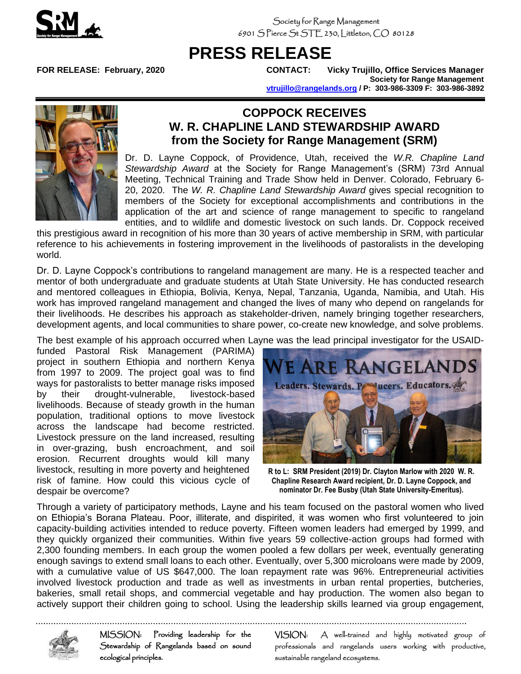

Society for Range Management 6901 S Pierce St STE 230, Littleton, CO 80128

## **PRESS RELEASE**

**FOR RELEASE: February, 2020 CONTACT: Vicky Trujillo, Office Services Manager Society for Range Management [vtrujillo@rangelands.org](mailto:vtrujillo@rangelands.org) / P: 303-986-3309 F: 303-986-3892**



## **COPPOCK RECEIVES W. R. CHAPLINE LAND STEWARDSHIP AWARD from the Society for Range Management (SRM)**

Dr. D. Layne Coppock, of Providence, Utah, received the *W.R. Chapline Land Stewardship Award* at the Society for Range Management's (SRM) 73rd Annual Meeting, Technical Training and Trade Show held in Denver. Colorado, February 6- 20, 2020. The *W. R. Chapline Land Stewardship Award* gives special recognition to members of the Society for exceptional accomplishments and contributions in the application of the art and science of range management to specific to rangeland entities, and to wildlife and domestic livestock on such lands. Dr. Coppock received

this prestigious award in recognition of his more than 30 years of active membership in SRM, with particular reference to his achievements in fostering improvement in the livelihoods of pastoralists in the developing world.

Dr. D. Layne Coppock's contributions to rangeland management are many. He is a respected teacher and mentor of both undergraduate and graduate students at Utah State University. He has conducted research and mentored colleagues in Ethiopia, Bolivia, Kenya, Nepal, Tanzania, Uganda, Namibia, and Utah. His work has improved rangeland management and changed the lives of many who depend on rangelands for their livelihoods. He describes his approach as stakeholder-driven, namely bringing together researchers, development agents, and local communities to share power, co-create new knowledge, and solve problems.

The best example of his approach occurred when Layne was the lead principal investigator for the USAID-

funded Pastoral Risk Management (PARIMA) project in southern Ethiopia and northern Kenya from 1997 to 2009. The project goal was to find ways for pastoralists to better manage risks imposed by their drought-vulnerable, livestock-based livelihoods. Because of steady growth in the human population, traditional options to move livestock across the landscape had become restricted. Livestock pressure on the land increased, resulting in over-grazing, bush encroachment, and soil erosion. Recurrent droughts would kill many livestock, resulting in more poverty and heightened risk of famine. How could this vicious cycle of despair be overcome?



**R to L: SRM President (2019) Dr. Clayton Marlow with 2020 W. R. Chapline Research Award recipient, Dr. D. Layne Coppock, and nominator Dr. Fee Busby (Utah State University-Emeritus).**

Through a variety of participatory methods, Layne and his team focused on the pastoral women who lived on Ethiopia's Borana Plateau. Poor, illiterate, and dispirited, it was women who first volunteered to join capacity-building activities intended to reduce poverty. Fifteen women leaders had emerged by 1999, and they quickly organized their communities. Within five years 59 collective-action groups had formed with 2,300 founding members. In each group the women pooled a few dollars per week, eventually generating enough savings to extend small loans to each other. Eventually, over 5,300 microloans were made by 2009, with a cumulative value of US \$647,000. The loan repayment rate was 96%. Entrepreneurial activities involved livestock production and trade as well as investments in urban rental properties, butcheries, bakeries, small retail shops, and commercial vegetable and hay production. The women also began to actively support their children going to school. Using the leadership skills learned via group engagement,



MISSION: Providing leadership for the Stewardship of Rangelands based on sound ecological principles.

VISION: A well-trained and highly motivated group of professionals and rangelands users working with productive, sustainable rangeland ecosystems.